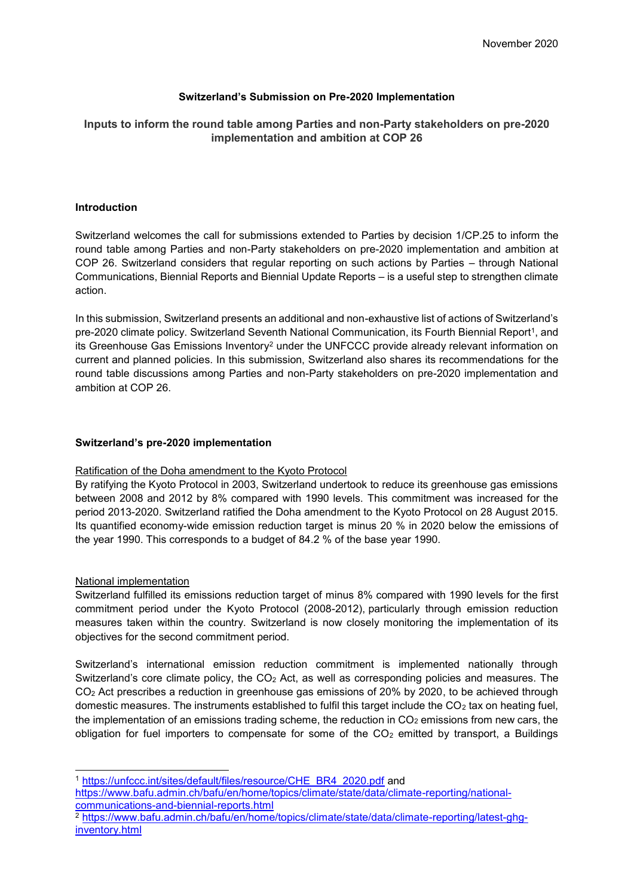## **Switzerland's Submission on Pre-2020 Implementation**

# **Inputs to inform the round table among Parties and non-Party stakeholders on pre-2020 implementation and ambition at COP 26**

### **Introduction**

Switzerland welcomes the call for submissions extended to Parties by decision 1/CP.25 to inform the round table among Parties and non-Party stakeholders on pre-2020 implementation and ambition at COP 26. Switzerland considers that regular reporting on such actions by Parties – through National Communications, Biennial Reports and Biennial Update Reports – is a useful step to strengthen climate action.

In this submission, Switzerland presents an additional and non-exhaustive list of actions of Switzerland's pre-2020 climate policy. Switzerland Seventh National Communication, its Fourth Biennial Report<sup>1</sup>, and its Greenhouse Gas Emissions Inventory<sup>2</sup> under the UNFCCC provide already relevant information on current and planned policies. In this submission, Switzerland also shares its recommendations for the round table discussions among Parties and non-Party stakeholders on pre-2020 implementation and ambition at COP 26.

### **Switzerland's pre-2020 implementation**

### Ratification of the Doha amendment to the Kyoto Protocol

By ratifying the Kyoto Protocol in 2003, Switzerland undertook to reduce its greenhouse gas emissions between 2008 and 2012 by 8% compared with 1990 levels. This commitment was increased for the period 2013-2020. Switzerland ratified the Doha amendment to the Kyoto Protocol on 28 August 2015. Its quantified economy-wide emission reduction target is minus 20 % in 2020 below the emissions of the year 1990. This corresponds to a budget of 84.2 % of the base year 1990.

### National implementation

Switzerland fulfilled its emissions reduction target of minus 8% compared with 1990 levels for the first commitment period under the Kyoto Protocol (2008-2012), particularly through emission reduction measures taken within the country. Switzerland is now closely monitoring the implementation of its objectives for the second commitment period.

Switzerland's international emission reduction commitment is implemented nationally through Switzerland's core climate policy, the CO<sub>2</sub> Act, as well as corresponding policies and measures. The CO<sup>2</sup> Act prescribes a reduction in greenhouse gas emissions of 20% by 2020, to be achieved through domestic measures. The instruments established to fulfil this target include the  $CO<sub>2</sub>$  tax on heating fuel, the implementation of an emissions trading scheme, the reduction in  $CO<sub>2</sub>$  emissions from new cars, the obligation for fuel importers to compensate for some of the  $CO<sub>2</sub>$  emitted by transport, a Buildings

1 <sup>1</sup> [https://unfccc.int/sites/default/files/resource/CHE\\_BR4\\_2020.pdf](https://unfccc.int/sites/default/files/resource/CHE_BR4_2020.pdf) and

[https://www.bafu.admin.ch/bafu/en/home/topics/climate/state/data/climate-reporting/national](https://www.bafu.admin.ch/bafu/en/home/topics/climate/state/data/climate-reporting/national-communications-and-biennial-reports.html)[communications-and-biennial-reports.html](https://www.bafu.admin.ch/bafu/en/home/topics/climate/state/data/climate-reporting/national-communications-and-biennial-reports.html)

<sup>2</sup> [https://www.bafu.admin.ch/bafu/en/home/topics/climate/state/data/climate-reporting/latest-ghg](https://www.bafu.admin.ch/bafu/en/home/topics/climate/state/data/climate-reporting/latest-ghg-inventory.html)[inventory.html](https://www.bafu.admin.ch/bafu/en/home/topics/climate/state/data/climate-reporting/latest-ghg-inventory.html)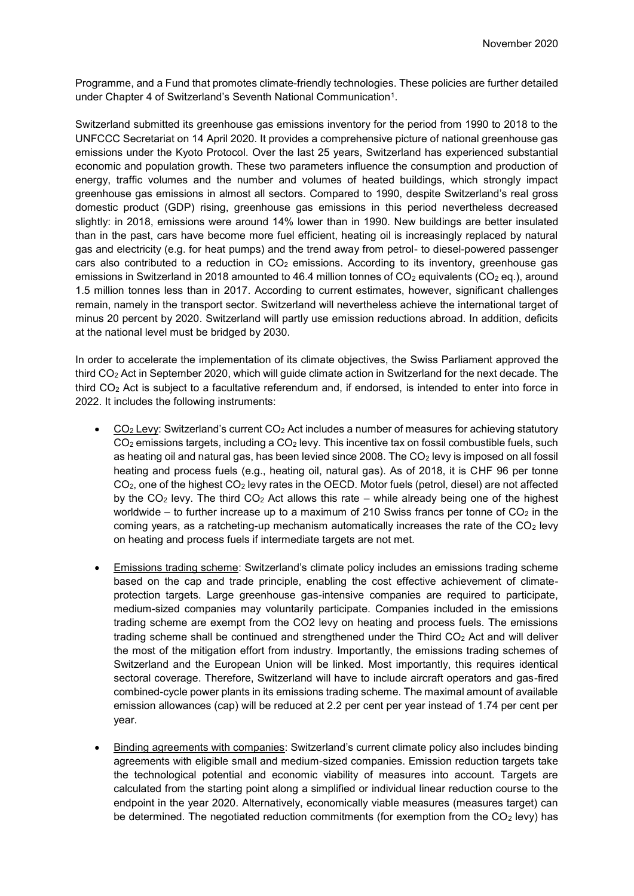Programme, and a Fund that promotes climate-friendly technologies. These policies are further detailed under Chapter 4 of Switzerland's Seventh National Communication<sup>1</sup>.

Switzerland submitted its greenhouse gas emissions inventory for the period from 1990 to 2018 to the UNFCCC Secretariat on 14 April 2020. It provides a comprehensive picture of national greenhouse gas emissions under the Kyoto Protocol. Over the last 25 years, Switzerland has experienced substantial economic and population growth. These two parameters influence the consumption and production of energy, traffic volumes and the number and volumes of heated buildings, which strongly impact greenhouse gas emissions in almost all sectors. Compared to 1990, despite Switzerland's real gross domestic product (GDP) rising, greenhouse gas emissions in this period nevertheless decreased slightly: in 2018, emissions were around 14% lower than in 1990. New buildings are better insulated than in the past, cars have become more fuel efficient, heating oil is increasingly replaced by natural gas and electricity (e.g. for heat pumps) and the trend away from petrol- to diesel-powered passenger cars also contributed to a reduction in  $CO<sub>2</sub>$  emissions. According to its inventory, greenhouse gas emissions in Switzerland in 2018 amounted to 46.4 million tonnes of  $CO<sub>2</sub>$  equivalents (CO<sub>2</sub> eq.), around 1.5 million tonnes less than in 2017. According to current estimates, however, significant challenges remain, namely in the transport sector. Switzerland will nevertheless achieve the international target of minus 20 percent by 2020. Switzerland will partly use emission reductions abroad. In addition, deficits at the national level must be bridged by 2030.

In order to accelerate the implementation of its climate objectives, the Swiss Parliament approved the third CO<sup>2</sup> Act in September 2020, which will guide climate action in Switzerland for the next decade. The third CO<sup>2</sup> Act is subject to a facultative referendum and, if endorsed, is intended to enter into force in 2022. It includes the following instruments:

- CO<sup>2</sup> Levy: Switzerland's current CO<sup>2</sup> Act includes a number of measures for achieving statutory  $CO<sub>2</sub>$  emissions targets, including a  $CO<sub>2</sub>$  levy. This incentive tax on fossil combustible fuels, such as heating oil and natural gas, has been levied since 2008. The  $CO<sub>2</sub>$  levy is imposed on all fossil heating and process fuels (e.g., heating oil, natural gas). As of 2018, it is CHF 96 per tonne CO2, one of the highest CO<sup>2</sup> levy rates in the OECD. Motor fuels (petrol, diesel) are not affected by the  $CO<sub>2</sub>$  levy. The third  $CO<sub>2</sub>$  Act allows this rate – while already being one of the highest worldwide – to further increase up to a maximum of 210 Swiss francs per tonne of  $CO<sub>2</sub>$  in the coming years, as a ratcheting-up mechanism automatically increases the rate of the  $CO<sub>2</sub>$  levy on heating and process fuels if intermediate targets are not met.
- Emissions trading scheme: Switzerland's climate policy includes an emissions trading scheme based on the cap and trade principle, enabling the cost effective achievement of climateprotection targets. Large greenhouse gas-intensive companies are required to participate, medium-sized companies may voluntarily participate. Companies included in the emissions trading scheme are exempt from the CO2 levy on heating and process fuels. The emissions trading scheme shall be continued and strengthened under the Third  $CO<sub>2</sub>$  Act and will deliver the most of the mitigation effort from industry. Importantly, the emissions trading schemes of Switzerland and the European Union will be linked. Most importantly, this requires identical sectoral coverage. Therefore, Switzerland will have to include aircraft operators and gas-fired combined-cycle power plants in its emissions trading scheme. The maximal amount of available emission allowances (cap) will be reduced at 2.2 per cent per year instead of 1.74 per cent per year.
- Binding agreements with companies: Switzerland's current climate policy also includes binding agreements with eligible small and medium-sized companies. Emission reduction targets take the technological potential and economic viability of measures into account. Targets are calculated from the starting point along a simplified or individual linear reduction course to the endpoint in the year 2020. Alternatively, economically viable measures (measures target) can be determined. The negotiated reduction commitments (for exemption from the  $CO<sub>2</sub>$  levy) has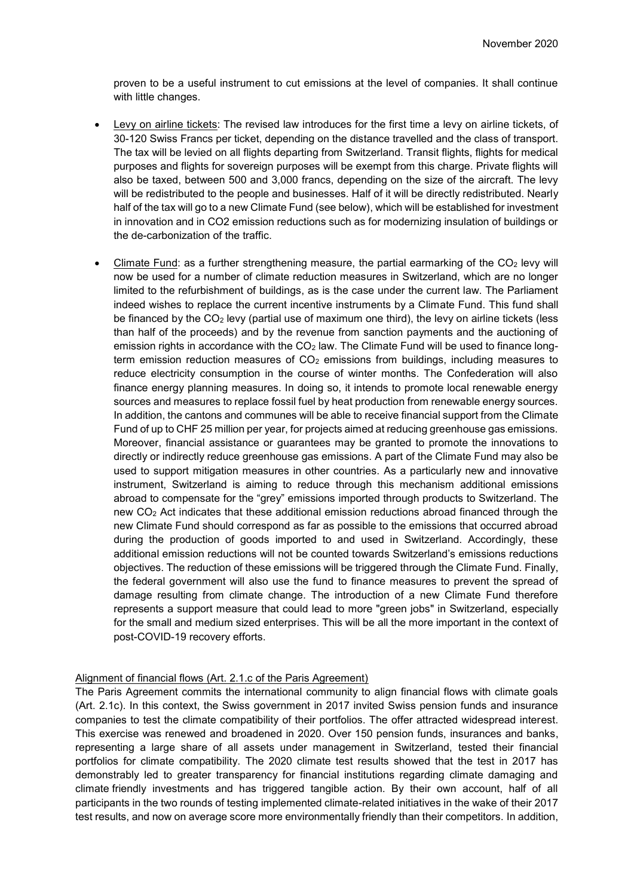proven to be a useful instrument to cut emissions at the level of companies. It shall continue with little changes.

- Levy on airline tickets: The revised law introduces for the first time a levy on airline tickets, of 30-120 Swiss Francs per ticket, depending on the distance travelled and the class of transport. The tax will be levied on all flights departing from Switzerland. Transit flights, flights for medical purposes and flights for sovereign purposes will be exempt from this charge. Private flights will also be taxed, between 500 and 3,000 francs, depending on the size of the aircraft. The levy will be redistributed to the people and businesses. Half of it will be directly redistributed. Nearly half of the tax will go to a new Climate Fund (see below), which will be established for investment in innovation and in CO2 emission reductions such as for modernizing insulation of buildings or the de-carbonization of the traffic.
- Climate Fund: as a further strengthening measure, the partial earmarking of the  $CO<sub>2</sub>$  levy will now be used for a number of climate reduction measures in Switzerland, which are no longer limited to the refurbishment of buildings, as is the case under the current law. The Parliament indeed wishes to replace the current incentive instruments by a Climate Fund. This fund shall be financed by the  $CO<sub>2</sub>$  levy (partial use of maximum one third), the levy on airline tickets (less than half of the proceeds) and by the revenue from sanction payments and the auctioning of emission rights in accordance with the  $CO<sub>2</sub>$  law. The Climate Fund will be used to finance longterm emission reduction measures of  $CO<sub>2</sub>$  emissions from buildings, including measures to reduce electricity consumption in the course of winter months. The Confederation will also finance energy planning measures. In doing so, it intends to promote local renewable energy sources and measures to replace fossil fuel by heat production from renewable energy sources. In addition, the cantons and communes will be able to receive financial support from the Climate Fund of up to CHF 25 million per year, for projects aimed at reducing greenhouse gas emissions. Moreover, financial assistance or guarantees may be granted to promote the innovations to directly or indirectly reduce greenhouse gas emissions. A part of the Climate Fund may also be used to support mitigation measures in other countries. As a particularly new and innovative instrument, Switzerland is aiming to reduce through this mechanism additional emissions abroad to compensate for the "grey" emissions imported through products to Switzerland. The new CO<sup>2</sup> Act indicates that these additional emission reductions abroad financed through the new Climate Fund should correspond as far as possible to the emissions that occurred abroad during the production of goods imported to and used in Switzerland. Accordingly, these additional emission reductions will not be counted towards Switzerland's emissions reductions objectives. The reduction of these emissions will be triggered through the Climate Fund. Finally, the federal government will also use the fund to finance measures to prevent the spread of damage resulting from climate change. The introduction of a new Climate Fund therefore represents a support measure that could lead to more "green jobs" in Switzerland, especially for the small and medium sized enterprises. This will be all the more important in the context of post-COVID-19 recovery efforts.

#### Alignment of financial flows (Art. 2.1.c of the Paris Agreement)

The Paris Agreement commits the international community to align financial flows with climate goals (Art. 2.1c). In this context, the Swiss government in 2017 invited Swiss pension funds and insurance companies to test the climate compatibility of their portfolios. The offer attracted widespread interest. This exercise was renewed and broadened in 2020. Over 150 pension funds, insurances and banks, representing a large share of all assets under management in Switzerland, tested their financial portfolios for climate compatibility. The 2020 climate test results showed that the test in 2017 has demonstrably led to greater transparency for financial institutions regarding climate damaging and climate friendly investments and has triggered tangible action. By their own account, half of all participants in the two rounds of testing implemented climate-related initiatives in the wake of their 2017 test results, and now on average score more environmentally friendly than their competitors. In addition,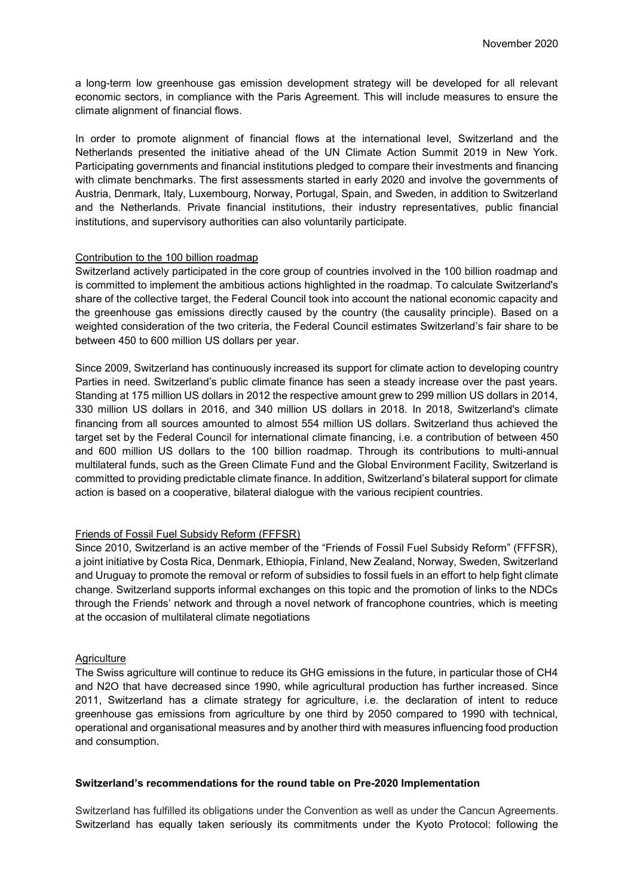a long-term low greenhouse gas emission development strategy will be developed for all relevant economic sectors, in compliance with the Paris Agreement. This will include measures to ensure the climate alignment of financial flows.

In order to promote alignment of financial flows at the international level, Switzerland and the Netherlands presented the initiative ahead of the UN Climate Action Summit 2019 in New York. Participating governments and financial institutions pledged to compare their investments and financing with climate benchmarks. The first assessments started in early 2020 and involve the governments of Austria, Denmark, Italy, Luxembourg, Norway, Portugal, Spain, and Sweden, in addition to Switzerland and the Netherlands. Private financial institutions, their industry representatives, public financial institutions, and supervisory authorities can also voluntarily participate.

#### Contribution to the 100 billion roadmap

Switzerland actively participated in the core group of countries involved in the 100 billion roadmap and is committed to implement the ambitious actions highlighted in the roadmap. To calculate Switzerland's share of the collective target, the Federal Council took into account the national economic capacity and the greenhouse gas emissions directly caused by the country (the causality principle). Based on a weighted consideration of the two criteria, the Federal Council estimates Switzerland's fair share to be between 450 to 600 million US dollars per year.

Since 2009, Switzerland has continuously increased its support for climate action to developing country Parties in need. Switzerland's public climate finance has seen a steady increase over the past years. Standing at 175 million US dollars in 2012 the respective amount grew to 299 million US dollars in 2014, 330 million US dollars in 2016, and 340 million US dollars in 2018. In 2018, Switzerland's climate financing from all sources amounted to almost 554 million US dollars. Switzerland thus achieved the target set by the Federal Council for international climate financing, i.e. a contribution of between 450 and 600 million US dollars to the 100 billion roadmap. Through its contributions to multi-annual multilateral funds, such as the Green Climate Fund and the Global Environment Facility, Switzerland is committed to providing predictable climate finance. In addition, Switzerland's bilateral support for climate action is based on a cooperative, bilateral dialogue with the various recipient countries.

### Friends of Fossil Fuel Subsidy Reform (FFFSR)

Since 2010, Switzerland is an active member of the "Friends of Fossil Fuel Subsidy Reform" (FFFSR), a joint initiative by Costa Rica, Denmark, Ethiopia, Finland, New Zealand, Norway, Sweden, Switzerland and Uruguay to promote the removal or reform of subsidies to fossil fuels in an effort to help fight climate change. Switzerland supports informal exchanges on this topic and the promotion of links to the NDCs through the Friends' network and through a novel network of francophone countries, which is meeting at the occasion of multilateral climate negotiations

#### **Agriculture**

The Swiss agriculture will continue to reduce its GHG emissions in the future, in particular those of CH4 and N2O that have decreased since 1990, while agricultural production has further increased. Since 2011, Switzerland has a climate strategy for agriculture, i.e. the declaration of intent to reduce greenhouse gas emissions from agriculture by one third by 2050 compared to 1990 with technical, operational and organisational measures and by another third with measures influencing food production and consumption.

#### **Switzerland's recommendations for the round table on Pre-2020 Implementation**

Switzerland has fulfilled its obligations under the Convention as well as under the Cancun Agreements. Switzerland has equally taken seriously its commitments under the Kyoto Protocol: following the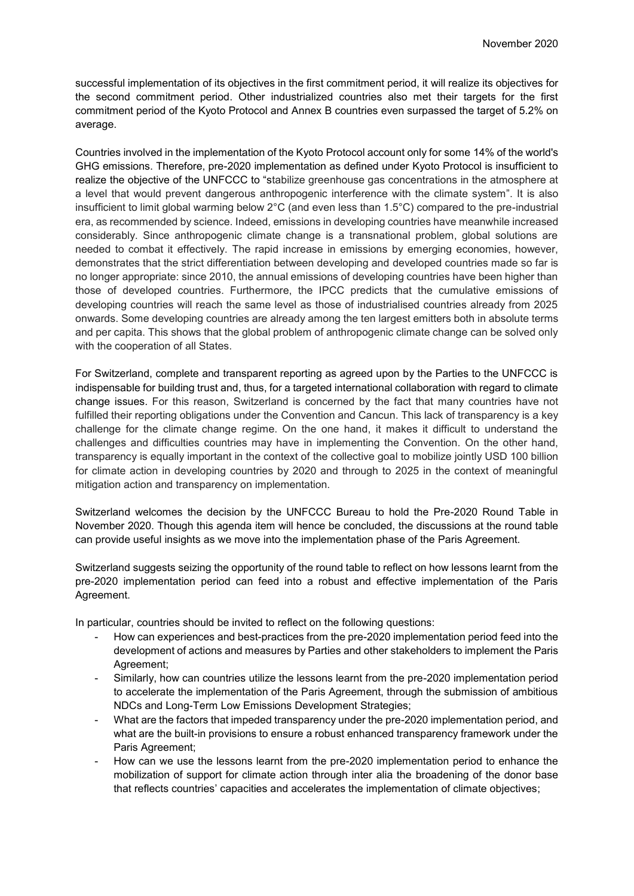successful implementation of its objectives in the first commitment period, it will realize its objectives for the second commitment period. Other industrialized countries also met their targets for the first commitment period of the Kyoto Protocol and Annex B countries even surpassed the target of 5.2% on average.

Countries involved in the implementation of the Kyoto Protocol account only for some 14% of the world's GHG emissions. Therefore, pre-2020 implementation as defined under Kyoto Protocol is insufficient to realize the objective of the UNFCCC to "stabilize greenhouse gas concentrations in the atmosphere at a level that would prevent dangerous anthropogenic interference with the climate system". It is also insufficient to limit global warming below 2°C (and even less than 1.5°C) compared to the pre-industrial era, as recommended by science. Indeed, emissions in developing countries have meanwhile increased considerably. Since anthropogenic climate change is a transnational problem, global solutions are needed to combat it effectively. The rapid increase in emissions by emerging economies, however, demonstrates that the strict differentiation between developing and developed countries made so far is no longer appropriate: since 2010, the annual emissions of developing countries have been higher than those of developed countries. Furthermore, the IPCC predicts that the cumulative emissions of developing countries will reach the same level as those of industrialised countries already from 2025 onwards. Some developing countries are already among the ten largest emitters both in absolute terms and per capita. This shows that the global problem of anthropogenic climate change can be solved only with the cooperation of all States.

For Switzerland, complete and transparent reporting as agreed upon by the Parties to the UNFCCC is indispensable for building trust and, thus, for a targeted international collaboration with regard to climate change issues. For this reason, Switzerland is concerned by the fact that many countries have not fulfilled their reporting obligations under the Convention and Cancun. This lack of transparency is a key challenge for the climate change regime. On the one hand, it makes it difficult to understand the challenges and difficulties countries may have in implementing the Convention. On the other hand, transparency is equally important in the context of the collective goal to mobilize jointly USD 100 billion for climate action in developing countries by 2020 and through to 2025 in the context of meaningful mitigation action and transparency on implementation.

Switzerland welcomes the decision by the UNFCCC Bureau to hold the Pre-2020 Round Table in November 2020. Though this agenda item will hence be concluded, the discussions at the round table can provide useful insights as we move into the implementation phase of the Paris Agreement.

Switzerland suggests seizing the opportunity of the round table to reflect on how lessons learnt from the pre-2020 implementation period can feed into a robust and effective implementation of the Paris Agreement.

In particular, countries should be invited to reflect on the following questions:

- How can experiences and best-practices from the pre-2020 implementation period feed into the development of actions and measures by Parties and other stakeholders to implement the Paris Agreement;
- Similarly, how can countries utilize the lessons learnt from the pre-2020 implementation period to accelerate the implementation of the Paris Agreement, through the submission of ambitious NDCs and Long-Term Low Emissions Development Strategies;
- What are the factors that impeded transparency under the pre-2020 implementation period, and what are the built-in provisions to ensure a robust enhanced transparency framework under the Paris Agreement;
- How can we use the lessons learnt from the pre-2020 implementation period to enhance the mobilization of support for climate action through inter alia the broadening of the donor base that reflects countries' capacities and accelerates the implementation of climate objectives;